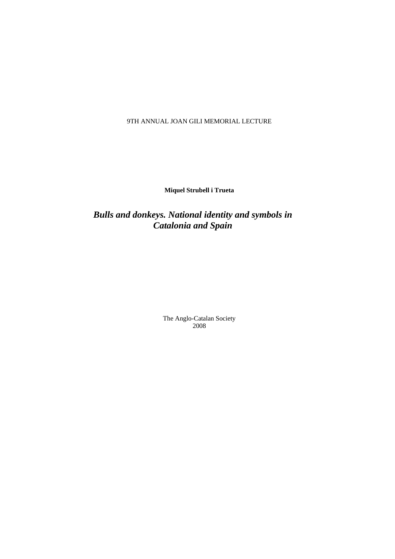9TH ANNUAL JOAN GILI MEMORIAL LECTURE

**Miquel Strubell i Trueta** 

*Bulls and donkeys. National identity and symbols in Catalonia and Spain* 

> The Anglo-Catalan Society 2008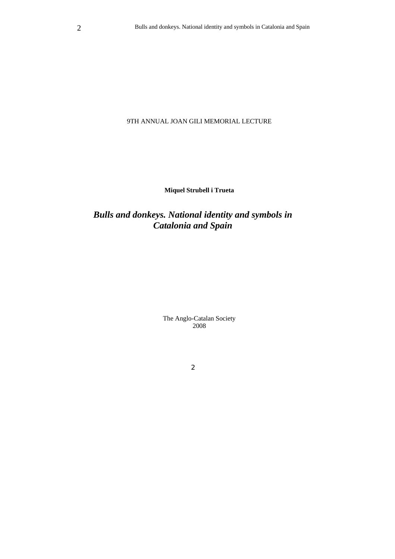## 9TH ANNUAL JOAN GILI MEMORIAL LECTURE

**Miquel Strubell i Trueta** 

# *Bulls and donkeys. National identity and symbols in Catalonia and Spain*

The Anglo-Catalan Society 2008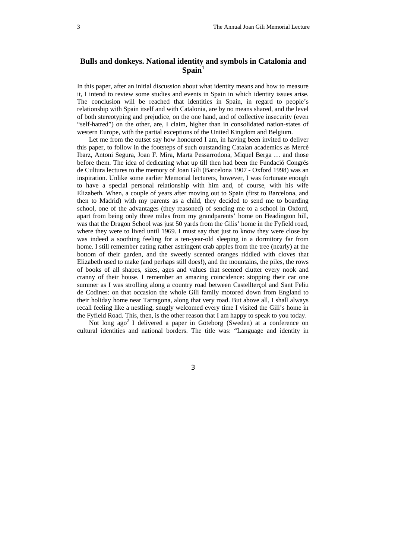# **Bulls and donkeys. National identity and symbols in Catalonia and**  Spain<sup>1</sup>

In this paper, after an initial discussion about what identity means and how to measure it, I intend to review some studies and events in Spain in which identity issues arise. The conclusion will be reached that identities in Spain, in regard to people's relationship with Spain itself and with Catalonia, are by no means shared, and the level of both stereotyping and prejudice, on the one hand, and of collective insecurity (even "self-hatred") on the other, are, I claim, higher than in consolidated nation-states of western Europe, with the partial exceptions of the United Kingdom and Belgium.

Let me from the outset say how honoured I am, in having been invited to deliver this paper, to follow in the footsteps of such outstanding Catalan academics as Mercè Ibarz, Antoni Segura, Joan F. Mira, Marta Pessarrodona, Miquel Berga … and those before them. The idea of dedicating what up till then had been the Fundació Congrés de Cultura lectures to the memory of Joan Gili (Barcelona 1907 - Oxford 1998) was an inspiration. Unlike some earlier Memorial lecturers, however, I was fortunate enough to have a special personal relationship with him and, of course, with his wife Elizabeth. When, a couple of years after moving out to Spain (first to Barcelona, and then to Madrid) with my parents as a child, they decided to send me to boarding school, one of the advantages (they reasoned) of sending me to a school in Oxford, apart from being only three miles from my grandparents' home on Headington hill, was that the Dragon School was just 50 yards from the Gilis' home in the Fyfield road, where they were to lived until 1969. I must say that just to know they were close by was indeed a soothing feeling for a ten-year-old sleeping in a dormitory far from home. I still remember eating rather astringent crab apples from the tree (nearly) at the bottom of their garden, and the sweetly scented oranges riddled with cloves that Elizabeth used to make (and perhaps still does!), and the mountains, the piles, the rows of books of all shapes, sizes, ages and values that seemed clutter every nook and cranny of their house. I remember an amazing coincidence: stopping their car one summer as I was strolling along a country road between Castellterçol and Sant Feliu de Codines: on that occasion the whole Gili family motored down from England to their holiday home near Tarragona, along that very road. But above all, I shall always recall feeling like a nestling, snugly welcomed every time I visited the Gili's home in the Fyfield Road. This, then, is the other reason that I am happy to speak to you today.

Not long ago<sup>2</sup> I delivered a paper in Göteborg (Sweden) at a conference on cultural identities and national borders. The title was: "Language and identity in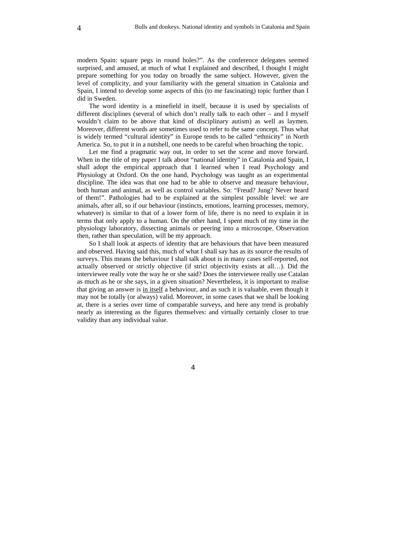modern Spain: square pegs in round holes?". As the conference delegates seemed surprised, and amused, at much of what I explained and described, I thought I might prepare something for you today on broadly the same subject. However, given the level of complicity, and your familiarity with the general situation in Catalonia and Spain, I intend to develop some aspects of this (to me fascinating) topic further than I did in Sweden.

The word identity is a minefield in itself, because it is used by specialists of different disciplines (several of which don't really talk to each other – and I myself wouldn't claim to be above that kind of disciplinary autism) as well as laymen. Moreover, different words are sometimes used to refer to the same concept. Thus what is widely termed "cultural identity" in Europe tends to be called "ethnicity" in North America. So, to put it in a nutshell, one needs to be careful when broaching the topic.

Let me find a pragmatic way out, in order to set the scene and move forward. When in the title of my paper I talk about "national identity" in Catalonia and Spain, I shall adopt the empirical approach that I learned when I read Psychology and Physiology at Oxford. On the one hand, Psychology was taught as an experimental discipline. The idea was that one had to be able to observe and measure behaviour, both human and animal, as well as control variables. So: "Freud? Jung? Never heard of them!". Pathologies had to be explained at the simplest possible level: we are animals, after all, so if our behaviour (instincts, emotions, learning processes, memory, whatever) is similar to that of a lower form of life, there is no need to explain it in terms that only apply to a human. On the other hand, I spent much of my time in the physiology laboratory, dissecting animals or peering into a microscope. Observation then, rather than speculation, will be my approach.

So I shall look at aspects of identity that are behaviours that have been measured and observed. Having said this, much of what I shall say has as its source the results of surveys. This means the behaviour I shall talk about is in many cases self-reported, not actually observed or strictly objective (if strict objectivity exists at all…). Did the interviewee really vote the way he or she said? Does the interviewee really use Catalan as much as he or she says, in a given situation? Nevertheless, it is important to realise that giving an answer is in itself a behaviour, and as such it is valuable, even though it may not be totally (or always) valid. Moreover, in some cases that we shall be looking at, there is a series over time of comparable surveys, and here any trend is probably nearly as interesting as the figures themselves: and virtually certainly closer to true validity than any individual value.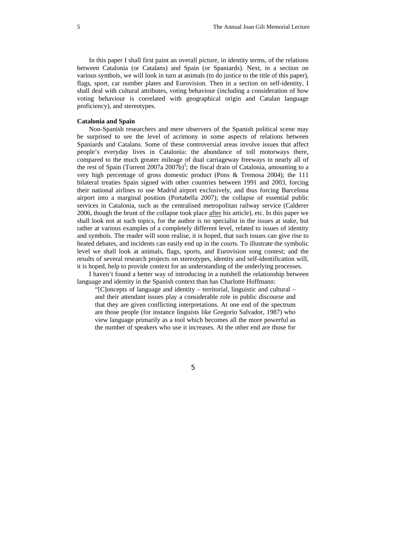In this paper I shall first paint an overall picture, in identity terms, of the relations between Catalonia (or Catalans) and Spain (or Spaniards). Next, in a section on various symbols, we will look in turn at animals (to do justice to the title of this paper), flags, sport, car number plates and Eurovision. Then in a section on self-identity, I shall deal with cultural attributes, voting behaviour (including a consideration of how voting behaviour is correlated with geographical origin and Catalan language proficiency), and stereotypes.

### **Catalonia and Spain**

Non-Spanish researchers and mere observers of the Spanish political scene may be surprised to see the level of acrimony in some aspects of relations between Spaniards and Catalans. Some of these controversial areas involve issues that affect people's everyday lives in Catalonia: the abundance of toll motorways there, compared to the much greater mileage of dual carriageway freeways in nearly all of the rest of Spain (Torrent 2007a 2007b)<sup>3</sup>; the fiscal drain of Catalonia, amounting to a very high percentage of gross domestic product (Pons & Tremosa 2004); the 111 bilateral treaties Spain signed with other countries between 1991 and 2003, forcing their national airlines to use Madrid airport exclusively, and thus forcing Barcelona airport into a marginal position (Portabella 2007); the collapse of essential public services in Catalonia, such as the centralised metropolitan railway service (Calderer 2006, though the brunt of the collapse took place after his article), etc. In this paper we shall look not at such topics, for the author is no specialist in the issues at stake, but rather at various examples of a completely different level, related to issues of identity and symbols. The reader will soon realise, it is hoped, that such issues can give rise to heated debates, and incidents can easily end up in the courts. To illustrate the symbolic level we shall look at animals, flags, sports, and Eurovision song contest; and the results of several research projects on stereotypes, identity and self-identification will, it is hoped, help to provide context for an understanding of the underlying processes.

I haven't found a better way of introducing in a nutshell the relationship between language and identity in the Spanish context than has Charlotte Hoffmann:

"[C]oncepts of language and identity – territorial, linguistic and cultural – and their attendant issues play a considerable role in public discourse and that they are given conflicting interpretations. At one end of the spectrum are those people (for instance linguists like Gregorio Salvador, 1987) who view language primarily as a tool which becomes all the more powerful as the number of speakers who use it increases. At the other end are those for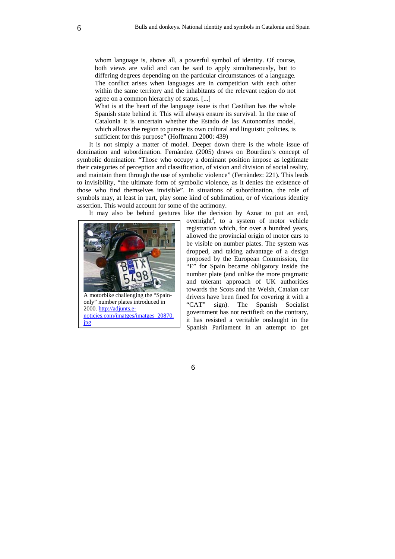whom language is, above all, a powerful symbol of identity. Of course, both views are valid and can be said to apply simultaneously, but to differing degrees depending on the particular circumstances of a language. The conflict arises when languages are in competition with each other within the same territory and the inhabitants of the relevant region do not agree on a common hierarchy of status. [...]

What is at the heart of the language issue is that Castilian has the whole Spanish state behind it. This will always ensure its survival. In the case of Catalonia it is uncertain whether the Estado de las Autonomías model, which allows the region to pursue its own cultural and linguistic policies, is sufficient for this purpose" (Hoffmann 2000: 439)

It is not simply a matter of model. Deeper down there is the whole issue of domination and subordination. Fernàndez (2005) draws on Bourdieu's concept of symbolic domination: "Those who occupy a dominant position impose as legitimate their categories of perception and classification, of vision and division of social reality, and maintain them through the use of symbolic violence" (Fernàndez: 221). This leads to invisibility, "the ultimate form of symbolic violence, as it denies the existence of those who find themselves invisible". In situations of subordination, the role of symbols may, at least in part, play some kind of sublimation, or of vicarious identity assertion. This would account for some of the acrimony.

It may also be behind gestures like the decision by Aznar to put an end,



overnight<sup>4</sup>, to a system of motor vehicle registration which, for over a hundred years, allowed the provincial origin of motor cars to be visible on number plates. The system was dropped, and taking advantage of a design proposed by the European Commission, the "E" for Spain became obligatory inside the number plate (and unlike the more pragmatic and tolerant approach of UK authorities towards the Scots and the Welsh, Catalan car drivers have been fined for covering it with a "CAT" sign). The Spanish Socialist government has not rectified: on the contrary, it has resisted a veritable onslaught in the Spanish Parliament in an attempt to get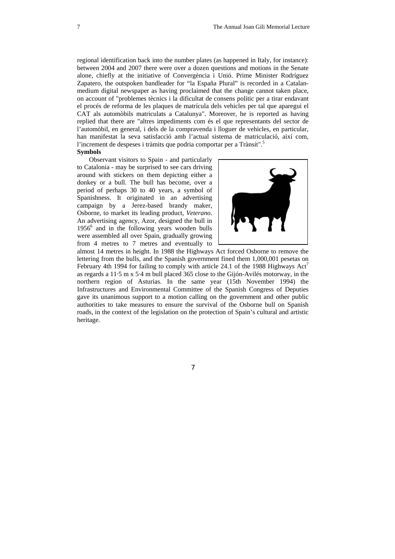regional identification back into the number plates (as happened in Italy, for instance): between 2004 and 2007 there were over a dozen questions and motions in the Senate alone, chiefly at the initiative of Convergència i Unió. Prime Minister Rodríguez Zapatero, the outspoken bandleader for "la España Plural" is recorded in a Catalanmedium digital newspaper as having proclaimed that the change cannot taken place, on account of "problemes tècnics i la dificultat de consens polític per a tirar endavant el procés de reforma de les plaques de matrícula dels vehicles per tal que aparegui el CAT als automòbils matriculats a Catalunya". Moreover, he is reported as having replied that there are "altres impediments com és el que representants del sector de l'automòbil, en general, i dels de la compravenda i lloguer de vehicles, en particular, han manifestat la seva satisfacció amb l'actual sistema de matriculació, així com, l'increment de despeses i tràmits que podria comportar per a Trànsit".5

### **Symbols**

Observant visitors to Spain - and particularly to Catalonia - may be surprised to see cars driving around with stickers on them depicting either a donkey or a bull. The bull has become, over a period of perhaps 30 to 40 years, a symbol of Spanishness. It originated in an advertising campaign by a Jerez-based brandy maker, Osborne, to market its leading product, *Veterano*. An advertising agency, Azor, designed the bull in 1956<sup>6</sup> and in the following years wooden bulls were assembled all over Spain, gradually growing from 4 metres to 7 metres and eventually to



almost 14 metres in height. In 1988 the Highways Act forced Osborne to remove the lettering from the bulls, and the Spanish government fined them 1,000,001 pesetas on February 4th 1994 for failing to comply with article 24.1 of the 1988 Highways  $Act^7$ as regards a 11·5 m x 5·4 m bull placed 365 close to the Gijón-Avilés motorway, in the northern region of Asturias. In the same year (15th November 1994) the Infrastructures and Environmental Committee of the Spanish Congress of Deputies gave its unanimous support to a motion calling on the government and other public authorities to take measures to ensure the survival of the Osborne bull on Spanish roads, in the context of the legislation on the protection of Spain's cultural and artistic heritage.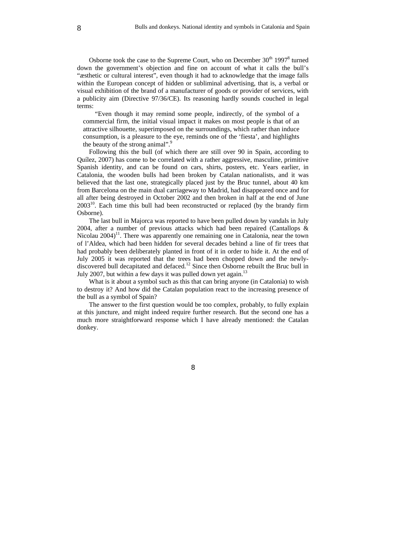Osborne took the case to the Supreme Court, who on December  $30<sup>th</sup> 1997<sup>8</sup>$  turned down the government's objection and fine on account of what it calls the bull's "æsthetic or cultural interest", even though it had to acknowledge that the image falls within the European concept of hidden or subliminal advertising, that is, a verbal or visual exhibition of the brand of a manufacturer of goods or provider of services, with a publicity aim (Directive 97/36/CE). Its reasoning hardly sounds couched in legal terms:

"Even though it may remind some people, indirectly, of the symbol of a commercial firm, the initial visual impact it makes on most people is that of an attractive silhouette, superimposed on the surroundings, which rather than induce consumption, is a pleasure to the eye, reminds one of the 'fiesta', and highlights the beauty of the strong animal".<sup>9</sup>

Following this the bull (of which there are still over 90 in Spain, according to Quílez, 2007) has come to be correlated with a rather aggressive, masculine, primitive Spanish identity, and can be found on cars, shirts, posters, etc. Years earlier, in Catalonia, the wooden bulls had been broken by Catalan nationalists, and it was believed that the last one, strategically placed just by the Bruc tunnel, about 40 km from Barcelona on the main dual carriageway to Madrid, had disappeared once and for all after being destroyed in October 2002 and then broken in half at the end of June  $2003^{10}$ . Each time this bull had been reconstructed or replaced (by the brandy firm Osborne).

The last bull in Majorca was reported to have been pulled down by vandals in July 2004, after a number of previous attacks which had been repaired (Cantallops & Nicolau  $2004$ <sup>11</sup>. There was apparently one remaining one in Catalonia, near the town of l'Aldea, which had been hidden for several decades behind a line of fir trees that had probably been deliberately planted in front of it in order to hide it. At the end of July 2005 it was reported that the trees had been chopped down and the newlydiscovered bull decapitated and defaced.<sup>12</sup> Since then Osborne rebuilt the Bruc bull in July 2007, but within a few days it was pulled down yet again.<sup>13</sup>

What is it about a symbol such as this that can bring anyone (in Catalonia) to wish to destroy it? And how did the Catalan population react to the increasing presence of the bull as a symbol of Spain?

The answer to the first question would be too complex, probably, to fully explain at this juncture, and might indeed require further research. But the second one has a much more straightforward response which I have already mentioned: the Catalan donkey.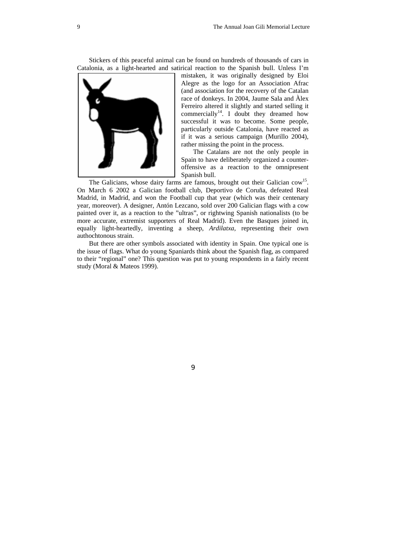Stickers of this peaceful animal can be found on hundreds of thousands of cars in Catalonia, as a light-hearted and satirical reaction to the Spanish bull. Unless I'm



mistaken, it was originally designed by Eloi Alegre as the logo for an Association Afrac (and association for the recovery of the Catalan race of donkeys. In 2004, Jaume Sala and Àlex Ferreiro altered it slightly and started selling it commercially<sup>14</sup>. I doubt they dreamed how successful it was to become. Some people, particularly outside Catalonia, have reacted as if it was a serious campaign (Murillo 2004), rather missing the point in the process.

The Catalans are not the only people in Spain to have deliberately organized a counteroffensive as a reaction to the omnipresent Spanish bull.

The Galicians, whose dairy farms are famous, brought out their Galician cow<sup>15</sup>. On March 6 2002 a Galician football club, Deportivo de Coruña, defeated Real Madrid, in Madrid, and won the Football cup that year (which was their centenary year, moreover). A designer, Antón Lezcano, sold over 200 Galician flags with a cow painted over it, as a reaction to the "ultras", or rightwing Spanish nationalists (to be more accurate, extremist supporters of Real Madrid). Even the Basques joined in, equally light-heartedly, inventing a sheep, *Ardilatxa*, representing their own authochtonous strain.

But there are other symbols associated with identity in Spain. One typical one is the issue of flags. What do young Spaniards think about the Spanish flag, as compared to their "regional" one? This question was put to young respondents in a fairly recent study (Moral & Mateos 1999).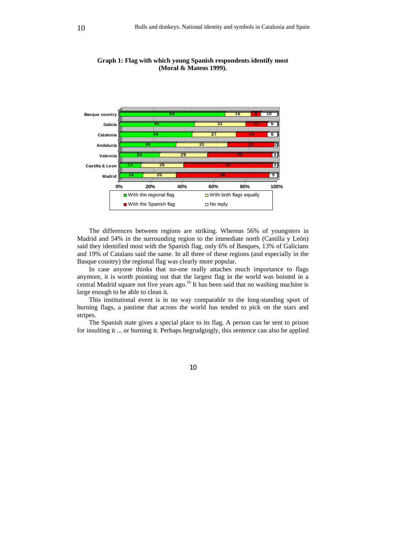

**Graph 1: Flag with which young Spanish respondents identify most (Moral & Mateos 1999).** 

The differences between regions are striking. Whereas 56% of youngsters in Madrid and 54% in the surrounding region to the immediate north (Castilla y León) said they identified most with the Spanish flag, only 6% of Basques, 13% of Galicians and 19% of Catalans said the same. In all three of these regions (and especially in the Basque country) the regional flag was clearly more popular.

In case anyone thinks that no-one really attaches much importance to flags anymore, it is worth pointing out that the largest flag in the world was hoisted in a central Madrid square not five years ago.<sup>16</sup> It has been said that no washing machine is large enough to be able to clean it.

This institutional event is in no way comparable to the long-standing sport of burning flags, a pastime that across the world has tended to pick on the stars and stripes.

The Spanish state gives a special place to its flag. A person can be sent to prison for insulting it ... or burning it. Perhaps begrudgingly, this sentence can also be applied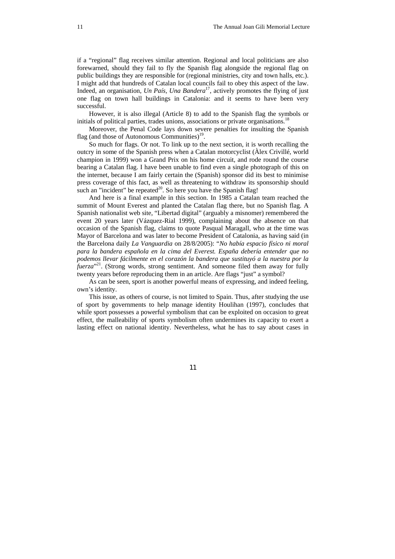if a "regional" flag receives similar attention. Regional and local politicians are also forewarned, should they fail to fly the Spanish flag alongside the regional flag on public buildings they are responsible for (regional ministries, city and town halls, etc.). I might add that hundreds of Catalan local councils fail to obey this aspect of the law. Indeed, an organisation, *Un País*, *Una Bandera*<sup>17</sup>, actively promotes the flying of just one flag on town hall buildings in Catalonia: and it seems to have been very successful.

However, it is also illegal (Article 8) to add to the Spanish flag the symbols or initials of political parties, trades unions, associations or private organisations.<sup>18</sup>

Moreover, the Penal Code lays down severe penalties for insulting the Spanish flag (and those of Autonomous Communities)<sup>19</sup>.

So much for flags. Or not. To link up to the next section, it is worth recalling the outcry in some of the Spanish press when a Catalan motorcyclist (Àlex Crivillé, world champion in 1999) won a Grand Prix on his home circuit, and rode round the course bearing a Catalan flag. I have been unable to find even a single photograph of this on the internet, because I am fairly certain the (Spanish) sponsor did its best to minimise press coverage of this fact, as well as threatening to withdraw its sponsorship should such an "incident" be repeated<sup>20</sup>. So here you have the Spanish flag!

And here is a final example in this section. In 1985 a Catalan team reached the summit of Mount Everest and planted the Catalan flag there, but no Spanish flag. A Spanish nationalist web site, "Libertad digital" (arguably a misnomer) remembered the event 20 years later (Vázquez-Rial 1999), complaining about the absence on that occasion of the Spanish flag, claims to quote Pasqual Maragall, who at the time was Mayor of Barcelona and was later to become President of Catalonia, as having said (in the Barcelona daily *La Vanguardia* on 28/8/2005): "*No había espacio físico ni moral para la bandera española en la cima del Everest. España debería entender que no podemos llevar fácilmente en el corazón la bandera que sustituyó a la nuestra por la fuerza*" 21. (Strong words, strong sentiment. And someone filed them away for fully twenty years before reproducing them in an article. Are flags "just" a symbol?

As can be seen, sport is another powerful means of expressing, and indeed feeling, own's identity.

This issue, as others of course, is not limited to Spain. Thus, after studying the use of sport by governments to help manage identity Houlihan (1997), concludes that while sport possesses a powerful symbolism that can be exploited on occasion to great effect, the malleability of sports symbolism often undermines its capacity to exert a lasting effect on national identity. Nevertheless, what he has to say about cases in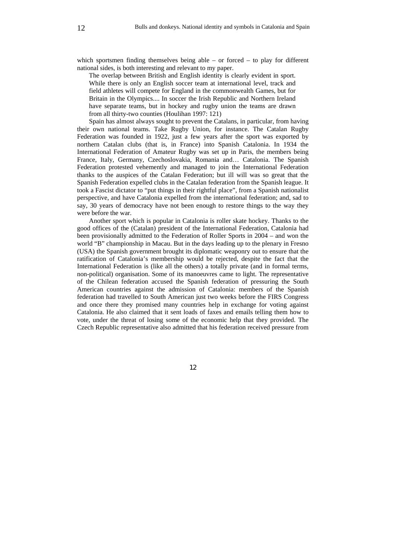which sportsmen finding themselves being able  $-$  or forced  $-$  to play for different national sides, is both interesting and relevant to my paper.

The overlap between British and English identity is clearly evident in sport. While there is only an English soccer team at international level, track and field athletes will compete for England in the commonwealth Games, but for Britain in the Olympics.... In soccer the Irish Republic and Northern Ireland have separate teams, but in hockey and rugby union the teams are drawn from all thirty-two counties (Houlihan 1997: 121)

Spain has almost always sought to prevent the Catalans, in particular, from having their own national teams. Take Rugby Union, for instance. The Catalan Rugby Federation was founded in 1922, just a few years after the sport was exported by northern Catalan clubs (that is, in France) into Spanish Catalonia. In 1934 the International Federation of Amateur Rugby was set up in Paris, the members being France, Italy, Germany, Czechoslovakia, Romania and… Catalonia. The Spanish Federation protested vehemently and managed to join the International Federation thanks to the auspices of the Catalan Federation; but ill will was so great that the Spanish Federation expelled clubs in the Catalan federation from the Spanish league. It took a Fascist dictator to "put things in their rightful place", from a Spanish nationalist perspective, and have Catalonia expelled from the international federation; and, sad to say, 30 years of democracy have not been enough to restore things to the way they were before the war.

Another sport which is popular in Catalonia is roller skate hockey. Thanks to the good offices of the (Catalan) president of the International Federation, Catalonia had been provisionally admitted to the Federation of Roller Sports in 2004 – and won the world "B" championship in Macau. But in the days leading up to the plenary in Fresno (USA) the Spanish government brought its diplomatic weaponry out to ensure that the ratification of Catalonia's membership would be rejected, despite the fact that the International Federation is (like all the others) a totally private (and in formal terms, non-political) organisation. Some of its manoeuvres came to light. The representative of the Chilean federation accused the Spanish federation of pressuring the South American countries against the admission of Catalonia: members of the Spanish federation had travelled to South American just two weeks before the FIRS Congress and once there they promised many countries help in exchange for voting against Catalonia. He also claimed that it sent loads of faxes and emails telling them how to vote, under the threat of losing some of the economic help that they provided. The Czech Republic representative also admitted that his federation received pressure from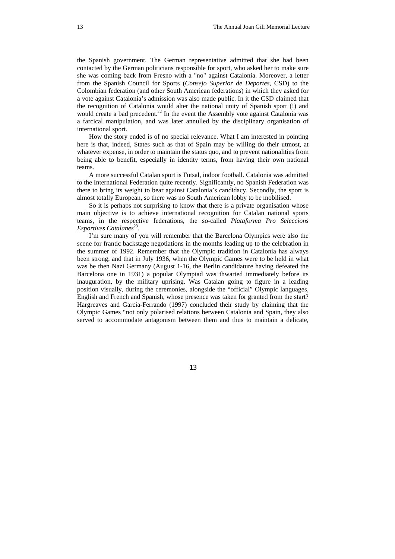the Spanish government. The German representative admitted that she had been contacted by the German politicians responsible for sport, who asked her to make sure she was coming back from Fresno with a "no" against Catalonia. Moreover, a letter from the Spanish Council for Sports (*Consejo Superior de Deportes*, CSD) to the Colombian federation (and other South American federations) in which they asked for a vote against Catalonia's admission was also made public. In it the CSD claimed that the recognition of Catalonia would alter the national unity of Spanish sport (!) and would create a bad precedent.<sup>22</sup> In the event the Assembly vote against Catalonia was a farcical manipulation, and was later annulled by the disciplinary organisation of international sport.

How the story ended is of no special relevance. What I am interested in pointing here is that, indeed, States such as that of Spain may be willing do their utmost, at whatever expense, in order to maintain the status quo, and to prevent nationalities from being able to benefit, especially in identity terms, from having their own national teams.

A more successful Catalan sport is Futsal, indoor football. Catalonia was admitted to the International Federation quite recently. Significantly, no Spanish Federation was there to bring its weight to bear against Catalonia's candidacy. Secondly, the sport is almost totally European, so there was no South American lobby to be mobilised.

So it is perhaps not surprising to know that there is a private organisation whose main objective is to achieve international recognition for Catalan national sports teams, in the respective federations, the so-called *Plataforma Pro Seleccions Esportives Catalanes*<sup>23</sup>.

I'm sure many of you will remember that the Barcelona Olympics were also the scene for frantic backstage negotiations in the months leading up to the celebration in the summer of 1992. Remember that the Olympic tradition in Catalonia has always been strong, and that in July 1936, when the Olympic Games were to be held in what was be then Nazi Germany (August 1-16, the Berlin candidature having defeated the Barcelona one in 1931) a popular Olympiad was thwarted immediately before its inauguration, by the military uprising. Was Catalan going to figure in a leading position visually, during the ceremonies, alongside the "official" Olympic languages, English and French and Spanish, whose presence was taken for granted from the start? Hargreaves and Garcia-Ferrando (1997) concluded their study by claiming that the Olympic Games "not only polarised relations between Catalonia and Spain, they also served to accommodate antagonism between them and thus to maintain a delicate,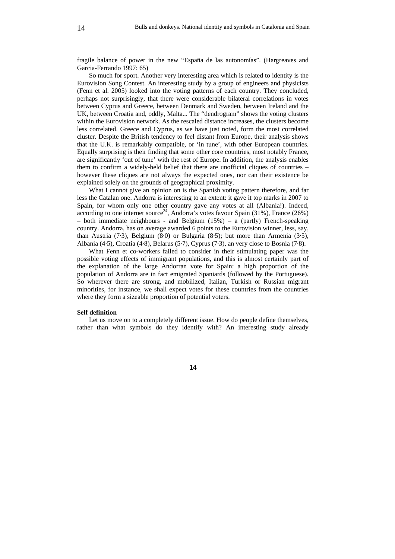fragile balance of power in the new "España de las autonomías". (Hargreaves and Garcia-Ferrando 1997: 65)

So much for sport. Another very interesting area which is related to identity is the Eurovision Song Contest. An interesting study by a group of engineers and physicists (Fenn et al. 2005) looked into the voting patterns of each country. They concluded, perhaps not surprisingly, that there were considerable bilateral correlations in votes between Cyprus and Greece, between Denmark and Sweden, between Ireland and the UK, between Croatia and, oddly, Malta... The "dendrogram" shows the voting clusters within the Eurovision network. As the rescaled distance increases, the clusters become less correlated. Greece and Cyprus, as we have just noted, form the most correlated cluster. Despite the British tendency to feel distant from Europe, their analysis shows that the U.K. is remarkably compatible, or 'in tune', with other European countries. Equally surprising is their finding that some other core countries, most notably France, are significantly 'out of tune' with the rest of Europe. In addition, the analysis enables them to confirm a widely-held belief that there are unofficial cliques of countries – however these cliques are not always the expected ones, nor can their existence be explained solely on the grounds of geographical proximity.

What I cannot give an opinion on is the Spanish voting pattern therefore, and far less the Catalan one. Andorra is interesting to an extent: it gave it top marks in 2007 to Spain, for whom only one other country gave any votes at all (Albania!). Indeed, according to one internet source<sup>24</sup>, Andorra's votes favour Spain (31%), France (26%) – both immediate neighbours - and Belgium (15%) – a (partly) French-speaking country. Andorra, has on average awarded 6 points to the Eurovision winner, less, say, than Austria (7·3), Belgium (8·0) or Bulgaria (8·5); but more than Armenia (3·5), Albania (4·5), Croatia (4·8), Belarus (5·7), Cyprus (7·3), an very close to Bosnia (7·8).

What Fenn et co-workers failed to consider in their stimulating paper was the possible voting effects of immigrant populations, and this is almost certainly part of the explanation of the large Andorran vote for Spain: a high proportion of the population of Andorra are in fact emigrated Spaniards (followed by the Portuguese). So wherever there are strong, and mobilized, Italian, Turkish or Russian migrant minorities, for instance, we shall expect votes for these countries from the countries where they form a sizeable proportion of potential voters.

#### **Self definition**

Let us move on to a completely different issue. How do people define themselves, rather than what symbols do they identify with? An interesting study already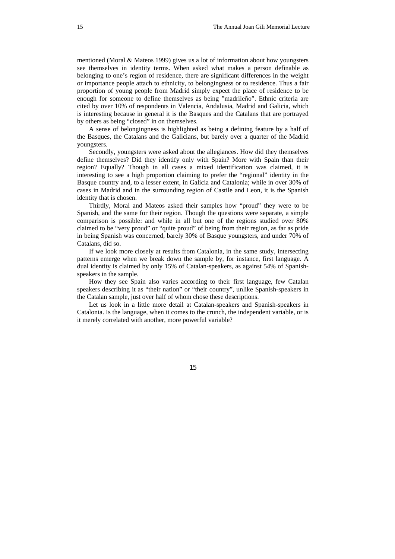mentioned (Moral & Mateos 1999) gives us a lot of information about how youngsters see themselves in identity terms. When asked what makes a person definable as belonging to one's region of residence, there are significant differences in the weight or importance people attach to ethnicity, to belongingness or to residence. Thus a fair proportion of young people from Madrid simply expect the place of residence to be enough for someone to define themselves as being "madrileño". Ethnic criteria are cited by over 10% of respondents in Valencia, Andalusia, Madrid and Galicia, which is interesting because in general it is the Basques and the Catalans that are portrayed by others as being "closed" in on themselves.

A sense of belongingness is highlighted as being a defining feature by a half of the Basques, the Catalans and the Galicians, but barely over a quarter of the Madrid youngsters.

Secondly, youngsters were asked about the allegiances. How did they themselves define themselves? Did they identify only with Spain? More with Spain than their region? Equally? Though in all cases a mixed identification was claimed, it is interesting to see a high proportion claiming to prefer the "regional" identity in the Basque country and, to a lesser extent, in Galicia and Catalonia; while in over 30% of cases in Madrid and in the surrounding region of Castile and Leon, it is the Spanish identity that is chosen.

Thirdly, Moral and Mateos asked their samples how "proud" they were to be Spanish, and the same for their region. Though the questions were separate, a simple comparison is possible: and while in all but one of the regions studied over 80% claimed to be "very proud" or "quite proud" of being from their region, as far as pride in being Spanish was concerned, barely 30% of Basque youngsters, and under 70% of Catalans, did so.

If we look more closely at results from Catalonia, in the same study, intersecting patterns emerge when we break down the sample by, for instance, first language. A dual identity is claimed by only 15% of Catalan-speakers, as against 54% of Spanishspeakers in the sample.

How they see Spain also varies according to their first language, few Catalan speakers describing it as "their nation" or "their country", unlike Spanish-speakers in the Catalan sample, just over half of whom chose these descriptions.

Let us look in a little more detail at Catalan-speakers and Spanish-speakers in Catalonia. Is the language, when it comes to the crunch, the independent variable, or is it merely correlated with another, more powerful variable?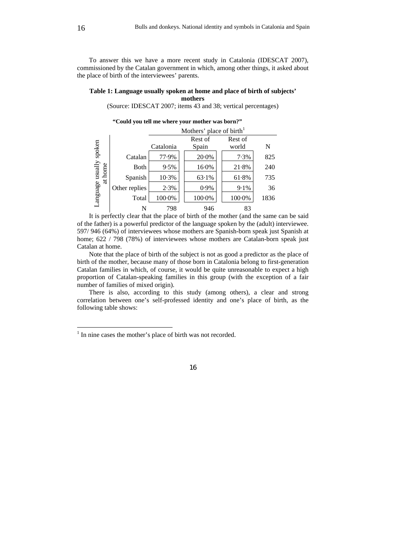To answer this we have a more recent study in Catalonia (IDESCAT 2007), commissioned by the Catalan government in which, among other things, it asked about the place of birth of the interviewees' parents.

### **Table 1: Language usually spoken at home and place of birth of subjects' mothers**

(Source: IDESCAT 2007; items 43 and 38; vertical percentages)

**"Could you tell me where your mother was born?"** 

|                                    |               | Mothers' place of birth <sup>1</sup> |                  |                  |      |  |  |  |  |
|------------------------------------|---------------|--------------------------------------|------------------|------------------|------|--|--|--|--|
| Language usually spoken<br>at home |               | Catalonia                            | Rest of<br>Spain | Rest of<br>world | N    |  |  |  |  |
|                                    | Catalan       | 77.9%                                | 20.0%            | 7.3%             | 825  |  |  |  |  |
|                                    | Both          | 9.5%                                 | 16.0%            | 21.8%            | 240  |  |  |  |  |
|                                    | Spanish       | 10.3%                                | 63.1%            | 61.8%            | 735  |  |  |  |  |
|                                    | Other replies | 2.3%                                 | 0.9%             | 9.1%             | 36   |  |  |  |  |
|                                    | Total         | 100.0%                               | 100.0%           | 100.0%           | 1836 |  |  |  |  |
|                                    | N             | 798                                  | 946              | 83               |      |  |  |  |  |

It is perfectly clear that the place of birth of the mother (and the same can be said of the father) is a powerful predictor of the language spoken by the (adult) interviewee. 597/ 946 (64%) of interviewees whose mothers are Spanish-born speak just Spanish at home; 622 / 798 (78%) of interviewees whose mothers are Catalan-born speak just Catalan at home.

Note that the place of birth of the subject is not as good a predictor as the place of birth of the mother, because many of those born in Catalonia belong to first-generation Catalan families in which, of course, it would be quite unreasonable to expect a high proportion of Catalan-speaking families in this group (with the exception of a fair number of families of mixed origin).

There is also, according to this study (among others), a clear and strong correlation between one's self-professed identity and one's place of birth, as the following table shows:

 $\overline{a}$ 

<sup>&</sup>lt;sup>1</sup> In nine cases the mother's place of birth was not recorded.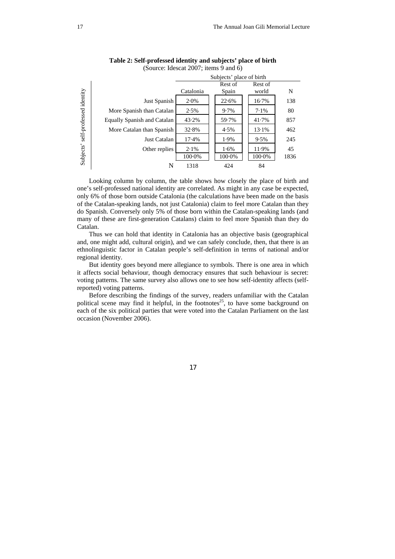

**Table 2: Self-professed identity and subjects' place of birth** 

Looking column by column, the table shows how closely the place of birth and one's self-professed national identity are correlated. As might in any case be expected, only 6% of those born outside Catalonia (the calculations have been made on the basis of the Catalan-speaking lands, not just Catalonia) claim to feel more Catalan than they do Spanish. Conversely only 5% of those born within the Catalan-speaking lands (and many of these are first-generation Catalans) claim to feel more Spanish than they do Catalan.

Just Catalan 17·4% 1.9% 9·5% 245 Other replies 2.1% 1.6% 1.1.9% 45

N 1318 424 84

100·0% 100·0% 100·0% 1836

Thus we can hold that identity in Catalonia has an objective basis (geographical and, one might add, cultural origin), and we can safely conclude, then, that there is an ethnolinguistic factor in Catalan people's self-definition in terms of national and/or regional identity.

But identity goes beyond mere allegiance to symbols. There is one area in which it affects social behaviour, though democracy ensures that such behaviour is secret: voting patterns. The same survey also allows one to see how self-identity affects (selfreported) voting patterns.

Before describing the findings of the survey, readers unfamiliar with the Catalan political scene may find it helpful, in the footnotes<sup>25</sup>, to have some background on each of the six political parties that were voted into the Catalan Parliament on the last occasion (November 2006).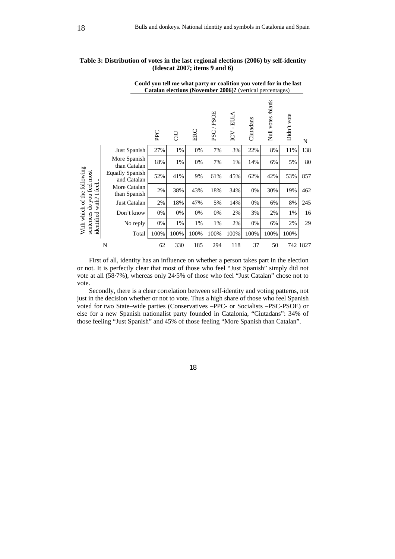**Could you tell me what party or coalition you voted for in the last** 

|                                                           | Catalan elections (November 2006)? (vertical percentages) |      |      |      |               |                                    |           |                   |             |          |
|-----------------------------------------------------------|-----------------------------------------------------------|------|------|------|---------------|------------------------------------|-----------|-------------------|-------------|----------|
|                                                           |                                                           | PPC  | GÜ   | ERC  | /PSOE<br>PSC. | EUIA<br>$\mathbf{I}$<br><b>ZDI</b> | Ciutadans | Null votes /blank | Didn't vote | N        |
|                                                           | Just Spanish                                              | 27%  | 1%   | 0%   | 7%            | 3%                                 | 22%       | 8%                | 11%         | 138      |
| With which of the following<br>sentences do you feel most | More Spanish<br>than Catalan                              | 18%  | 1%   | 0%   | 7%            | 1%                                 | 14%       | 6%                | 5%          | 80       |
|                                                           | <b>Equally Spanish</b><br>and Catalan                     | 52%  | 41%  | 9%   | 61%           | 45%                                | 62%       | 42%               | 53%         | 857      |
|                                                           | More Catalan<br>than Spanish                              | 2%   | 38%  | 43%  | 18%           | 34%                                | 0%        | 30%               | 19%         | 462      |
|                                                           | Just Catalan                                              | 2%   | 18%  | 47%  | 5%            | 14%                                | 0%        | 6%                | 8%          | 245      |
| identified with? I feel.                                  | Don't know                                                | 0%   | 0%   | 0%   | 0%            | 2%                                 | 3%        | 2%                | 1%          | 16       |
|                                                           | No reply                                                  | 0%   | 1%   | 1%   | 1%            | 2%                                 | 0%        | 6%                | 2%          | 29       |
|                                                           | Total                                                     | 100% | 100% | 100% | 100%          | 100%                               | 100%      | 100%              | 100%        |          |
|                                                           | N                                                         | 62   | 330  | 185  | 294           | 118                                | 37        | 50                |             | 742 1827 |

## **Table 3: Distribution of votes in the last regional elections (2006) by self-identity (Idescat 2007; items 9 and 6)**

First of all, identity has an influence on whether a person takes part in the election or not. It is perfectly clear that most of those who feel "Just Spanish" simply did not vote at all (58·7%), whereas only 24·5% of those who feel "Just Catalan" chose not to

vote. Secondly, there is a clear correlation between self-identity and voting patterns, not just in the decision whether or not to vote. Thus a high share of those who feel Spanish

voted for two State–wide parties (Conservatives –PPC- or Socialists –PSC-PSOE) or else for a new Spanish nationalist party founded in Catalonia, "Ciutadans": 34% of those feeling "Just Spanish" and 45% of those feeling "More Spanish than Catalan".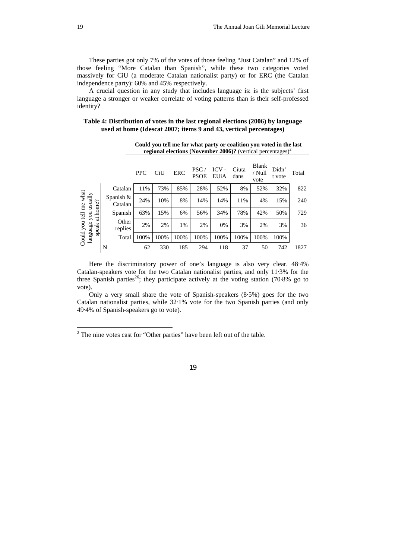These parties got only 7% of the votes of those feeling "Just Catalan" and 12% of those feeling "More Catalan than Spanish", while these two categories voted massively for CiU (a moderate Catalan nationalist party) or for ERC (the Catalan independence party): 60% and 45% respectively.

A crucial question in any study that includes language is: is the subjects' first language a stronger or weaker correlate of voting patterns than is their self-professed identity?

### **Table 4: Distribution of votes in the last regional elections (2006) by language used at home (Idescat 2007; items 9 and 43, vertical percentages)**

|                                                         |                         | <b>PPC</b> | CiU  | ERC  | <b>PSC</b><br><b>PSOE</b> | $ICV -$<br>EUiA | Ciuta<br>dans | Blank<br>/ Null<br>vote | Didn'<br>t vote | Total |
|---------------------------------------------------------|-------------------------|------------|------|------|---------------------------|-----------------|---------------|-------------------------|-----------------|-------|
|                                                         | Catalan                 | 11%        | 73%  | 85%  | 28%                       | 52%             | 8%            | 52%                     | 32%             | 822   |
|                                                         | Spanish $\&$<br>Catalan | 24%        | 10%  | 8%   | 14%                       | 14%             | 11%           | 4%                      | 15%             | 240   |
| at home?                                                | Spanish                 | 63%        | 15%  | 6%   | 56%                       | 34%             | 78%           | 42%                     | 50%             | 729   |
| Could you tell me what<br>language you usually<br>speak | Other<br>replies        | 2%         | 2%   | 1%   | 2%                        | 0%              | 3%            | 2%                      | 3%              | 36    |
|                                                         | Total                   | 100%       | 100% | 100% | 100%                      | 100%            | 100%          | 100%                    | 100%            |       |
|                                                         | N                       | 62         | 330  | 185  | 294                       | 118             | 37            | 50                      | 742             | 1827  |

**Could you tell me for what party or coalition you voted in the last regional elections (November 2006)?** (vertical percentages)<sup>2</sup>

Here the discriminatory power of one's language is also very clear. 48·4% Catalan-speakers vote for the two Catalan nationalist parties, and only 11·3% for the three Spanish parties<sup>26</sup>; they participate actively at the voting station (70.8% go to vote).

Only a very small share the vote of Spanish-speakers (8·5%) goes for the two Catalan nationalist parties, while 32·1% vote for the two Spanish parties (and only 49·4% of Spanish-speakers go to vote).

 $\overline{a}$ 

 $2^2$  The nine votes cast for "Other parties" have been left out of the table.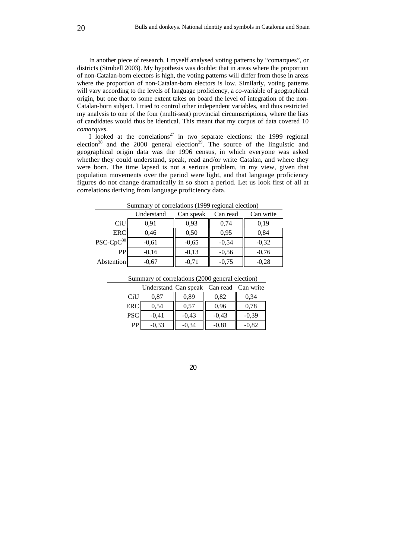In another piece of research, I myself analysed voting patterns by "comarques", or districts (Strubell 2003). My hypothesis was double: that in areas where the proportion of non-Catalan-born electors is high, the voting patterns will differ from those in areas where the proportion of non-Catalan-born electors is low. Similarly, voting patterns will vary according to the levels of language proficiency, a co-variable of geographical origin, but one that to some extent takes on board the level of integration of the non-Catalan-born subject. I tried to control other independent variables, and thus restricted my analysis to one of the four (multi-seat) provincial circumscriptions, where the lists of candidates would thus be identical. This meant that my corpus of data covered 10 *comarques*.

I looked at the correlations<sup>27</sup> in two separate elections: the 1999 regional election<sup>28</sup> and the 2000 general election<sup>29</sup>. The source of the linguistic and geographical origin data was the 1996 census, in which everyone was asked whether they could understand, speak, read and/or write Catalan, and where they were born. The time lapsed is not a serious problem, in my view, given that population movements over the period were light, and that language proficiency figures do not change dramatically in so short a period. Let us look first of all at correlations deriving from language proficiency data.

|                | Understand | Can speak | Can read | Can write |
|----------------|------------|-----------|----------|-----------|
| CiU            | 0.91       | 0,93      | 0,74     | 0.19      |
| <b>ERC</b>     | 0,46       | 0.50      | 0.95     | 0.84      |
| $PSC-CpC^{30}$ | $-0.61$    | $-0.65$   | $-0,54$  | $-0.32$   |
| <b>PP</b>      | $-0.16$    | $-0.13$   | $-0,56$  | $-0.76$   |
| Abstention     | $-0.67$    | $-0.71$   | $-0.75$  | $-0.28$   |

Summary of correlations (1999 regional election)

| Summary of correlations (2000 general election) |  |  |
|-------------------------------------------------|--|--|
| Understand Can speak Can read Can write         |  |  |
|                                                 |  |  |

| CiU        | 0,87    | 0.89    | 0,82    | 0,34    |
|------------|---------|---------|---------|---------|
| ERC        | 0,54    | 0.57    | 0,96    | 0.78    |
| <b>PSC</b> | $-0,41$ | $-0.43$ | $-0,43$ | $-0.39$ |
| PP         | $-0.33$ | $-0.34$ | $-0.81$ | $-0.82$ |

20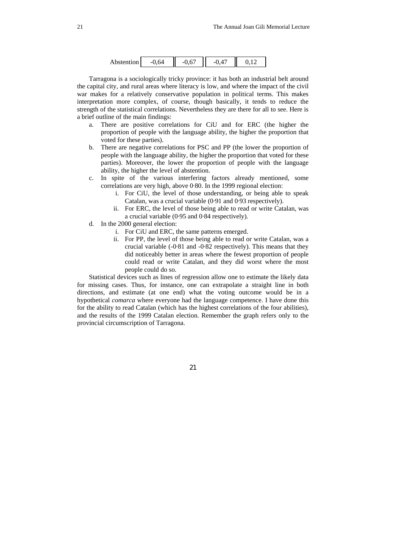| Abstention | I |  | I |
|------------|---|--|---|
|------------|---|--|---|

Tarragona is a sociologically tricky province: it has both an industrial belt around the capital city, and rural areas where literacy is low, and where the impact of the civil war makes for a relatively conservative population in political terms. This makes interpretation more complex, of course, though basically, it tends to reduce the strength of the statistical correlations. Nevertheless they are there for all to see. Here is a brief outline of the main findings:

- a. There are positive correlations for CiU and for ERC (the higher the proportion of people with the language ability, the higher the proportion that voted for these parties).
- b. There are negative correlations for PSC and PP (the lower the proportion of people with the language ability, the higher the proportion that voted for these parties). Moreover, the lower the proportion of people with the language ability, the higher the level of abstention.
- c. In spite of the various interfering factors already mentioned, some correlations are very high, above 0·80. In the 1999 regional election:
	- i. For CiU, the level of those understanding, or being able to speak Catalan, was a crucial variable (0·91 and 0·93 respectively).
	- ii. For ERC, the level of those being able to read or write Catalan, was a crucial variable (0·95 and 0·84 respectively).
- d. In the 2000 general election:
	- i. For CiU and ERC, the same patterns emerged.
	- ii. For PP, the level of those being able to read or write Catalan, was a crucial variable (-0·81 and -0·82 respectively). This means that they did noticeably better in areas where the fewest proportion of people could read or write Catalan, and they did worst where the most people could do so.

Statistical devices such as lines of regression allow one to estimate the likely data for missing cases. Thus, for instance, one can extrapolate a straight line in both directions, and estimate (at one end) what the voting outcome would be in a hypothetical *comarca* where everyone had the language competence. I have done this for the ability to read Catalan (which has the highest correlations of the four abilities), and the results of the 1999 Catalan election. Remember the graph refers only to the provincial circumscription of Tarragona.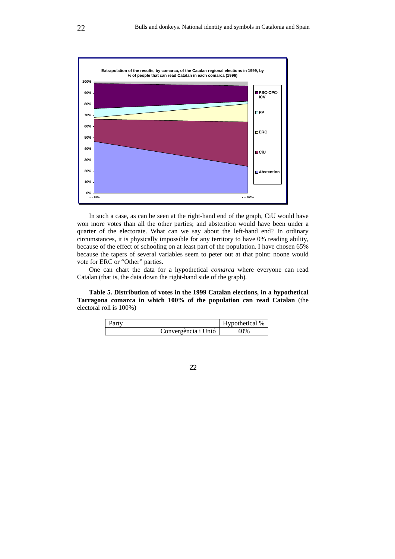

In such a case, as can be seen at the right-hand end of the graph, CiU would have won more votes than all the other parties; and abstention would have been under a quarter of the electorate. What can we say about the left-hand end? In ordinary circumstances, it is physically impossible for any territory to have 0% reading ability, because of the effect of schooling on at least part of the population. I have chosen 65% because the tapers of several variables seem to peter out at that point: noone would vote for ERC or "Other" parties.

One can chart the data for a hypothetical *comarca* where everyone can read Catalan (that is, the data down the right-hand side of the graph).

**Table 5. Distribution of votes in the 1999 Catalan elections, in a hypothetical Tarragona comarca in which 100% of the population can read Catalan** (the electoral roll is 100%)

| Party               | Hypothetical % |
|---------------------|----------------|
| Convergència i Unió | 40%            |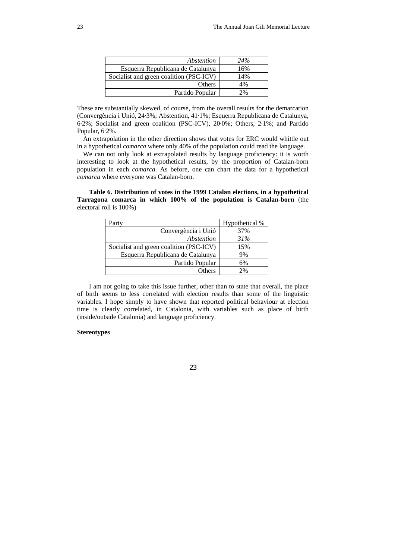| Abstention                              | 24% |
|-----------------------------------------|-----|
| Esquerra Republicana de Catalunya       | 16% |
| Socialist and green coalition (PSC-ICV) | 14% |
| Others                                  | 4%  |
| Partido Popular                         | 2%  |

These are substantially skewed, of course, from the overall results for the demarcation (Convergència i Unió, 24·3%; Abstention, 41·1%; Esquerra Republicana de Catalunya, 6·2%; Socialist and green coalition (PSC-ICV), 20·0%; Others, 2·1%; and Partido Popular, 6·2%.

An extrapolation in the other direction shows that votes for ERC would whittle out in a hypothetical *comarca* where only 40% of the population could read the language.

We can not only look at extrapolated results by language proficiency: it is worth interesting to look at the hypothetical results, by the proportion of Catalan-born population in each *comarca.* As before, one can chart the data for a hypothetical *comarca* where everyone was Catalan-born.

**Table 6. Distribution of votes in the 1999 Catalan elections, in a hypothetical Tarragona comarca in which 100% of the population is Catalan-born** (the electoral roll is 100%)

| Party                                   | Hypothetical % |
|-----------------------------------------|----------------|
| Convergència i Unió                     | 37%            |
| Abstention                              | 31%            |
| Socialist and green coalition (PSC-ICV) | 15%            |
| Esquerra Republicana de Catalunya       | 9%             |
| Partido Popular                         | 6%             |
| Others                                  | 2%             |

I am not going to take this issue further, other than to state that overall, the place of birth seems to less correlated with election results than some of the linguistic variables. I hope simply to have shown that reported political behaviour at election time is clearly correlated, in Catalonia, with variables such as place of birth (inside/outside Catalonia) and language proficiency.

### **Stereotypes**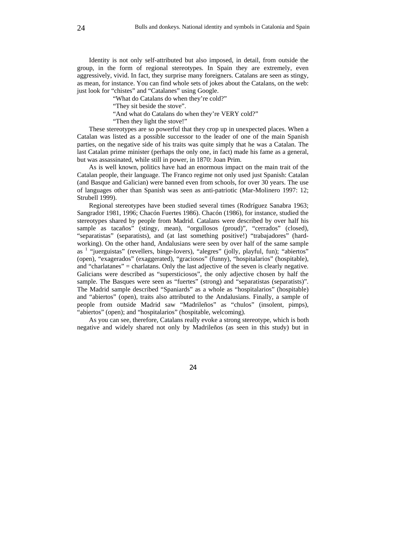Identity is not only self-attributed but also imposed, in detail, from outside the group, in the form of regional stereotypes. In Spain they are extremely, even aggressively, vivid. In fact, they surprise many foreigners. Catalans are seen as stingy, as mean, for instance. You can find whole sets of jokes about the Catalans, on the web: just look for "chistes" and "Catalanes" using Google.

"What do Catalans do when they're cold?"

"They sit beside the stove".

"And what do Catalans do when they're VERY cold?"

"Then they light the stove!"

These stereotypes are so powerful that they crop up in unexpected places. When a Catalan was listed as a possible successor to the leader of one of the main Spanish parties, on the negative side of his traits was quite simply that he was a Catalan. The last Catalan prime minister (perhaps the only one, in fact) made his fame as a general, but was assassinated, while still in power, in 1870: Joan Prim.

As is well known, politics have had an enormous impact on the main trait of the Catalan people, their language. The Franco regime not only used just Spanish: Catalan (and Basque and Galician) were banned even from schools, for over 30 years. The use of languages other than Spanish was seen as anti-patriotic (Mar-Molinero 1997: 12; Strubell 1999).

Regional stereotypes have been studied several times (Rodríguez Sanabra 1963; Sangrador 1981, 1996; Chacón Fuertes 1986). Chacón (1986), for instance, studied the stereotypes shared by people from Madrid. Catalans were described by over half his sample as tacaños" (stingy, mean), "orgullosos (proud)", "cerrados" (closed), "separatistas" (separatists), and (at last something positive!) "trabajadores" (hardworking). On the other hand, Andalusians were seen by over half of the same sample as <sup>1</sup> "juerguistas" (revellers, binge-lovers), "alegres" (jolly, playful, fun); "abiertos" (open), "exagerados" (exaggerated), "graciosos" (funny), "hospitalarios" (hospitable), and "charlatanes" = charlatans. Only the last adjective of the seven is clearly negative. Galicians were described as "supersticiosos", the only adjective chosen by half the sample. The Basques were seen as "fuertes" (strong) and "separatistas (separatists)". The Madrid sample described "Spaniards" as a whole as "hospitalarios" (hospitable) and "abiertos" (open), traits also attributed to the Andalusians. Finally, a sample of people from outside Madrid saw "Madrileños" as "chulos" (insolent, pimps), "abiertos" (open); and "hospitalarios" (hospitable, welcoming).

As you can see, therefore, Catalans really evoke a strong stereotype, which is both negative and widely shared not only by Madrileños (as seen in this study) but in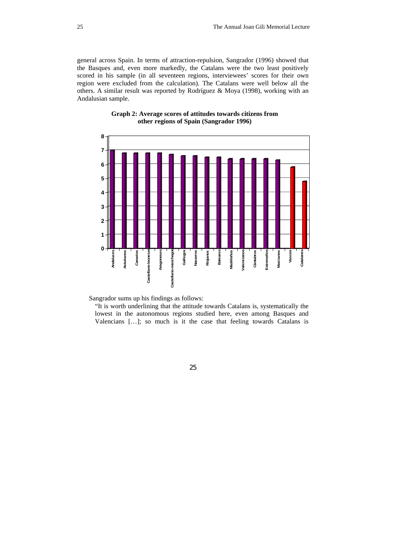general across Spain. In terms of attraction-repulsion, Sangrador (1996) showed that the Basques and, even more markedly, the Catalans were the two least positively scored in his sample (in all seventeen regions, interviewees' scores for their own region were excluded from the calculation). The Catalans were well below all the others. A similar result was reported by Rodríguez & Moya (1998), working with an Andalusian sample.





Sangrador sums up his findings as follows:

"It is worth underlining that the attitude towards Catalans is, systematically the lowest in the autonomous regions studied here, even among Basques and Valencians […]; so much is it the case that feeling towards Catalans is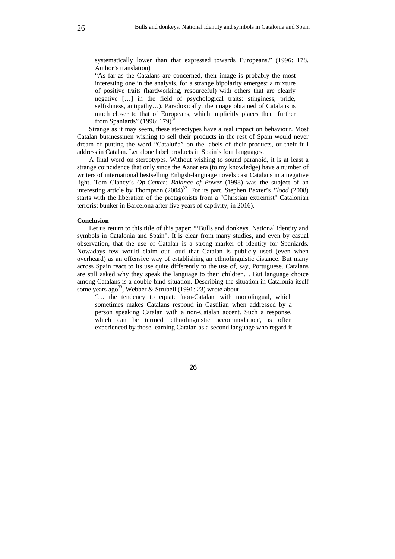systematically lower than that expressed towards Europeans." (1996: 178. Author's translation)

"As far as the Catalans are concerned, their image is probably the most interesting one in the analysis, for a strange bipolarity emerges: a mixture of positive traits (hardworking, resourceful) with others that are clearly negative […] in the field of psychological traits: stinginess, pride, selfishness, antipathy…). Paradoxically, the image obtained of Catalans is much closer to that of Europeans, which implicitly places them further from Spaniards" (1996: 179)<sup>31</sup>

Strange as it may seem, these stereotypes have a real impact on behaviour. Most Catalan businessmen wishing to sell their products in the rest of Spain would never dream of putting the word "Cataluña" on the labels of their products, or their full address in Catalan. Let alone label products in Spain's four languages.

A final word on stereotypes. Without wishing to sound paranoid, it is at least a strange coincidence that only since the Aznar era (to my knowledge) have a number of writers of international bestselling Enligsh-language novels cast Catalans in a negative light. Tom Clancy's *Op-Center: Balance of Power* (1998) was the subject of an interesting article by Thompson (2004)<sup>32</sup>. For its part, Stephen Baxter's *Flood* (2008) starts with the liberation of the protagonists from a "Christian extremist" Catalonian terrorist bunker in Barcelona after five years of captivity, in 2016).

#### **Conclusion**

Let us return to this title of this paper: "'Bulls and donkeys. National identity and symbols in Catalonia and Spain". It is clear from many studies, and even by casual observation, that the use of Catalan is a strong marker of identity for Spaniards. Nowadays few would claim out loud that Catalan is publicly used (even when overheard) as an offensive way of establishing an ethnolinguistic distance. But many across Spain react to its use quite differently to the use of, say, Portuguese. Catalans are still asked why they speak the language to their children… But language choice among Catalans is a double-bind situation. Describing the situation in Catalonia itself some years ago<sup>33</sup>, Webber & Strubell (1991: 23) wrote about

"… the tendency to equate 'non-Catalan' with monolingual, which sometimes makes Catalans respond in Castilian when addressed by a person speaking Catalan with a non-Catalan accent. Such a response, which can be termed 'ethnolinguistic accommodation', is often experienced by those learning Catalan as a second language who regard it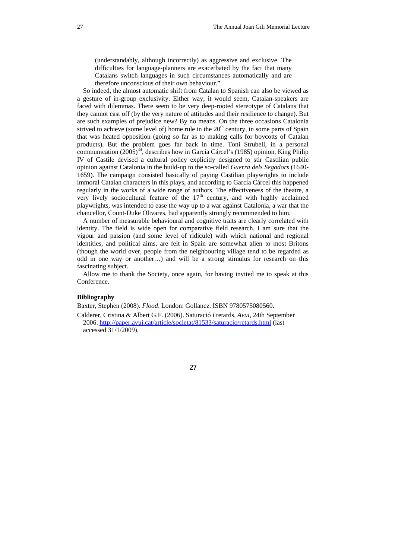(understandably, although incorrectly) as aggressive and exclusive. The difficulties for language-planners are exacerbated by the fact that many Catalans switch languages in such circumstances automatically and are therefore unconscious of their own behaviour."

So indeed, the almost automatic shift from Catalan to Spanish can also be viewed as a gesture of in-group exclusivity. Either way, it would seem, Catalan-speakers are faced with dilemmas. There seem to be very deep-rooted stereotype of Catalans that they cannot cast off (by the very nature of attitudes and their resilience to change). But are such examples of prejudice new? By no means. On the three occasions Catalonia strived to achieve (some level of) home rule in the 20<sup>th</sup> century, in some parts of Spain that was heated opposition (going so far as to making calls for boycotts of Catalan products). But the problem goes far back in time. Toni Strubell, in a personal communication  $(2005)^{34}$ , describes how in García Cárcel's (1985) opinion, King Philip IV of Castile devised a cultural policy explicitly designed to stir Castilian public opinion against Catalonia in the build-up to the so-called *Guerra dels Segadors* (1640- 1659). The campaign consisted basically of paying Castilian playwrights to include immoral Catalan characters in this plays, and according to García Cárcel this happened regularly in the works of a wide range of authors. The effectiveness of the theatre, a very lively sociocultural feature of the 17<sup>th</sup> century, and with highly acclaimed playwrights, was intended to ease the way up to a war against Catalonia, a war that the chancellor, Count-Duke Olivares, had apparently strongly recommended to him.

A number of measurable behavioural and cognitive traits are clearly correlated with identity. The field is wide open for comparative field research. I am sure that the vigour and passion (and some level of ridicule) with which national and regional identities, and political aims, are felt in Spain are somewhat alien to most Britons (though the world over, people from the neighbouring village tend to be regarded as odd in one way or another…) and will be a strong stimulus for research on this fascinating subject.

Allow me to thank the Society, once again, for having invited me to speak at this Conference.

### **Bibliography**

Baxter, Stephen (2008). *Flood*. London: Gollancz. ISBN 9780575080560.

Calderer, Cristina & Albert G.F. (2006). Saturació i retards, *Avui*, 24th September 2006. http://paper.avui.cat/article/societat/81533/saturacio/retards.html (last accessed 31/1/2009).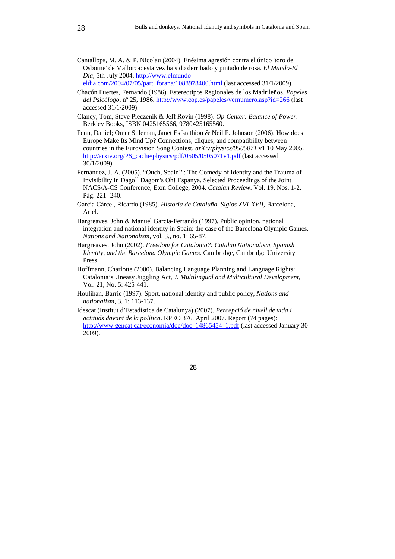Cantallops, M. A. & P. Nicolau (2004). Enésima agresión contra el único 'toro de Osborne' de Mallorca: esta vez ha sido derribado y pintado de rosa. *El Mundo-El Dia*, 5th July 2004. http://www.elmundo-

eldia.com/2004/07/05/part\_forana/1088978400.html (last accessed 31/1/2009).

- Chacón Fuertes, Fernando (1986). Estereotipos Regionales de los Madrileños, *Papeles del Psicólogo*, nº 25, 1986. http://www.cop.es/papeles/vernumero.asp?id=266 (last accessed 31/1/2009).
- Clancy, Tom, Steve Pieczenik & Jeff Rovin (1998). *Op-Center: Balance of Power*. Berkley Books, ISBN 0425165566, 9780425165560.
- Fenn, Daniel; Omer Suleman, Janet Esfstathiou & Neil F. Johnson (2006). How does Europe Make Its Mind Up? Connections, cliques, and compatibility between countries in the Eurovision Song Contest. *arXiv:physics/0505071* v1 10 May 2005. http://arxiv.org/PS\_cache/physics/pdf/0505/0505071v1.pdf (last accessed 30/1/2009)
- Fernàndez, J. A. (2005). "Ouch, Spain!": The Comedy of Identity and the Trauma of Invisibility in Dagoll Dagom's Oh! Espanya. Selected Proceedings of the Joint NACS/A-CS Conference, Eton College, 2004. *Catalan Review*. Vol. 19, Nos. 1-2. Pág. 221- 240.
- García Cárcel, Ricardo (1985). *Historia de Cataluña. Siglos XVI-XVII*, Barcelona, Ariel.
- Hargreaves, John & Manuel Garcia-Ferrando (1997). Public opinion, national integration and national identity in Spain: the case of the Barcelona Olympic Games. *Nations and Nationalism*, vol. 3., no. 1: 65-87.
- Hargreaves, John (2002). *Freedom for Catalonia?: Catalan Nationalism, Spanish Identity, and the Barcelona Olympic Games*. Cambridge, Cambridge University Press.
- Hoffmann, Charlotte (2000). Balancing Language Planning and Language Rights: Catalonia's Uneasy Juggling Act, *J. Multilingual and Multicultural Development,* Vol. 21, No. 5: 425-441.
- Houlihan, Barrie (1997). Sport, national identity and public policy, *Nations and nationalism*, 3, 1: 113-137.
- Idescat (Institut d'Estadística de Catalunya) (2007). *Percepció de nivell de vida i actituds davant de la política*. RPEO 376, April 2007. Report (74 pages): http://www.gencat.cat/economia/doc/doc\_14865454\_1.pdf (last accessed January 30 2009).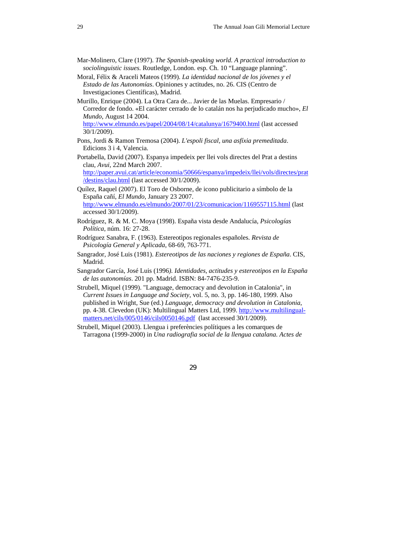- Mar-Molinero, Clare (1997). *The Spanish-speaking world. A practical introduction to sociolinguistic issues.* Routledge, London. esp. Ch. 10 "Language planning".
- Moral, Félix & Araceli Mateos (1999). *La identidad nacional de los jóvenes y el Estado de las Autonomías*. Opiniones y actitudes, no. 26. CIS (Centro de Investigaciones Científicas), Madrid.
- Murillo, Enrique (2004). La Otra Cara de... Javier de las Muelas. Empresario / Corredor de fondo. «El carácter cerrado de lo catalán nos ha perjudicado mucho», *El Mundo*, August 14 2004.

http://www.elmundo.es/papel/2004/08/14/catalunya/1679400.html (last accessed 30/1/2009).

- Pons, Jordi & Ramon Tremosa (2004). *L'espoli fiscal, una asfíxia premeditada*. Edicions 3 i 4, Valencia.
- Portabella, David (2007). Espanya impedeix per llei vols directes del Prat a destins clau, *Avui*, 22nd March 2007.

http://paper.avui.cat/article/economia/50666/espanya/impedeix/llei/vols/directes/prat /destins/clau.html (last accessed 30/1/2009).

- Quílez, Raquel (2007). El Toro de Osborne, de icono publicitario a símbolo de la España cañí, *El Mundo*, January 23 2007. http://www.elmundo.es/elmundo/2007/01/23/comunicacion/1169557115.html (last accessed 30/1/2009).
- Rodríguez, R. & M. C. Moya (1998). España vista desde Andalucía, *Psicologías Política*, núm. 16: 27-28.
- Rodríguez Sanabra, F. (1963). Estereotipos regionales españoles. *Revista de Psicología General y Aplicada*, 68-69, 763-771.
- Sangrador, José Luis (1981). *Estereotipos de las naciones y regiones de España*. CIS, Madrid.
- Sangrador García, José Luis (1996*). Identidades, actitudes y estereotipos en la España de las autonomías*. 201 pp. Madrid. ISBN: 84-7476-235-9.

Strubell, Miquel (1999). "Language, democracy and devolution in Catalonia", in *Current Issues in Language and Society*, vol. 5, no. 3, pp. 146-180, 1999. Also published in Wright, Sue (ed.) *Language, democracy and devolution in Catalonia*, pp. 4-38. Clevedon (UK): Multilingual Matters Ltd, 1999. http://www.multilingualmatters.net/cils/005/0146/cils0050146.pdf (last accessed 30/1/2009).

Strubell, Miquel (2003). Llengua i preferències polítiques a les comarques de Tarragona (1999-2000) in *Una radiografia social de la llengua catalana. Actes de*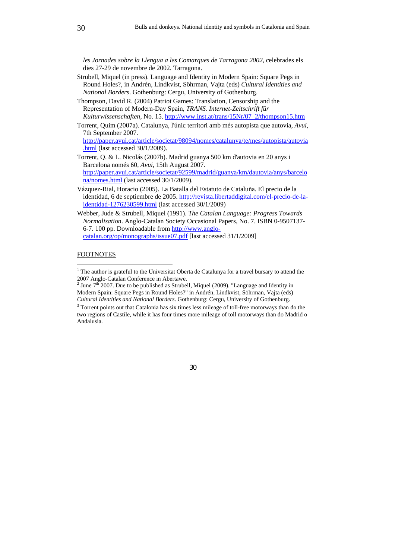*les Jornades sobre la Llengua a les Comarques de Tarragona 2002*, celebrades els dies 27-29 de novembre de 2002. Tarragona.

- Strubell, Miquel (in press). Language and Identity in Modern Spain: Square Pegs in Round Holes?, in Andrén, Lindkvist, Söhrman, Vajta (eds) *Cultural Identities and National Borders*. Gothenburg: Cergu, University of Gothenburg.
- Thompson, David R. (2004) Patriot Games: Translation, Censorship and the Representation of Modern-Day Spain, *TRANS. Internet-Zeitschrift für Kulturwissenschaften,* No. 15. http://www.inst.at/trans/15Nr/07\_2/thompson15.htm
- Torrent, Quim (2007a). Catalunya, l'únic territori amb més autopista que autovia, *Avui*, 7th September 2007.

http://paper.avui.cat/article/societat/98094/nomes/catalunya/te/mes/autopista/autovia .html (last accessed 30/1/2009).

- Torrent, Q. & L. Nicolás (2007b). Madrid guanya 500 km d'autovia en 20 anys i Barcelona només 60, *Avui*, 15th August 2007. http://paper.avui.cat/article/societat/92599/madrid/guanya/km/dautovia/anys/barcelo na/nomes.html (last accessed 30/1/2009).
- Vázquez-Rial, Horacio (2005). La Batalla del Estatuto de Cataluña. El precio de la identidad, 6 de septiembre de 2005. http://revista.libertaddigital.com/el-precio-de-laidentidad-1276230599.html (last accessed 30/1/2009)
- Webber, Jude & Strubell, Miquel (1991). *The Catalan Language: Progress Towards Normalisation*. Anglo-Catalan Society Occasional Papers, No. 7. ISBN 0-9507137- 6-7. 100 pp. Downloadable from http://www.anglocatalan.org/op/monographs/issue07.pdf [last accessed 31/1/2009]

### FOOTNOTES

 $\overline{a}$ 

 $1$  The author is grateful to the Universitat Oberta de Catalunya for a travel bursary to attend the 2007 Anglo-Catalan Conference in Abertawe.

<sup>&</sup>lt;sup>2</sup> June  $7<sup>th</sup>$  2007. Due to be published as Strubell, Miquel (2009). "Language and Identity in Modern Spain: Square Pegs in Round Holes?" in Andrén, Lindkvist, Söhrman, Vajta (eds) *Cultural Identities and National Borders*. Gothenburg: Cergu, University of Gothenburg. 3

<sup>&</sup>lt;sup>3</sup> Torrent points out that Catalonia has six times less mileage of toll-free motorways than do the two regions of Castile, while it has four times more mileage of toll motorways than do Madrid o Andalusia.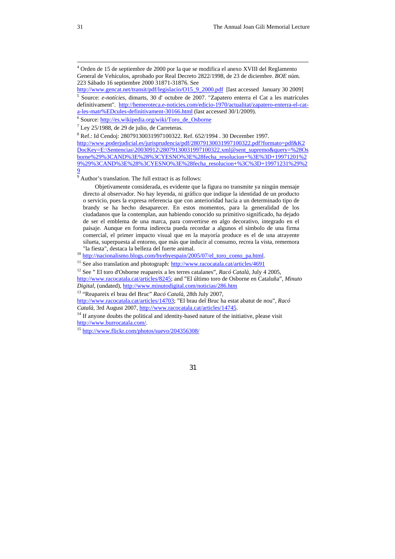9 Author's translation. The full extract is as follows:

Objetivamente considerada, es evidente que la figura no transmite ya ningún mensaje directo al observador. No hay leyenda, ni gráfico que indique la identidad de un producto o servicio, pues la expresa referencia que con anterioridad hacía a un determinado tipo de brandy se ha hecho desaparecer. En estos momentos, para la generalidad de los ciudadanos que la contemplan, aun habiendo conocido su primitivo significado, ha dejado de ser el emblema de una marca, para convertirse en algo decorativo, integrado en el paisaje. Aunque en forma indirecta pueda recordar a algunos el símbolo de una firma comercial, el primer impacto visual que en la mayoría produce es el de una atrayente silueta, superpuesta al entorno, que más que inducir al consumo, recrea la vista, rememora

"la fiesta", destaca la belleza del fuerte animal.<br>
<sup>10</sup> http://nacionalismo.blogs.com/byebyespain/2005/07/el\_toro\_como\_pa.html.<br>
<sup>11</sup> See also translation and photograph: http://www.racocatala.cat/articles/4691<br>
<sup>12</sup> See

http://www.racocatala.cat/articles/8245; and "El último toro de Osborne en Cataluña", *Minuto Digital*, (undated), http://www.minutodigital.com/noticias/286.htm

13 "Reapareix el brau del Bruc" *Racó Català*, 28th July 2007,

http://www.racocatala.cat/articles/14703; "El brau del Bruc ha estat abatut de nou", *Racó* 

<sup>14</sup> If anyone doubts the political and identity-based nature of the initiative, please visit http://www.burrocatala.com/.

 $15$  http://www.flickr.com/photos/suevo/204356308/

 $\overline{a}$ 

<sup>4</sup> Orden de 15 de septiembre de 2000 por la que se modifica el anexo XVIII del Reglamento General de Vehículos, aprobado por Real Decreto 2822/1998, de 23 de diciembre. *BOE* núm. 223 Sábado 16 septiembre 2000 31871-31876. See

http://www.gencat.net/transit/pdf/legislacio/O15\_9\_2000.pdf [last accessed January 30 2009] 5 Source: *e-notícies*, dimarts, 30 d' octubre de 2007. "Zapatero enterra el Cat a les matrícules definitivament". http://hemeroteca.e-noticies.com/edicio-1970/actualitat/zapatero-enterra-el-cata-les-matr%EDcules-definitivament-30166.html (last accessed 30/1/2009).

<sup>&</sup>lt;sup>6</sup> Source: http://es.wikipedia.org/wiki/Toro\_de\_Osborne

 $<sup>7</sup>$  Ley 25/1988, de 29 de julio, de Carreteras.</sup>

<sup>8</sup> Ref.: Id Cendoj: 28079130031997100322. Ref. 652/1994 . 30 December 1997.

http://www.poderjudicial.es/jurisprudencia/pdf/28079130031997100322.pdf?formato=pdf&K2 DocKey=E:\Sentencias\20030912\2<u>8079130031997100322.xml@sent\_supremo&query=%28Os</u> borne%29%3CAND%3E%28%3CYESNO%3E%28fecha\_resolucion+%3E%3D+19971201%2 9%29%3CAND%3E%28%3CYESNO%3E%28fecha\_resolucion+%3C%3D+19971231%29%2 9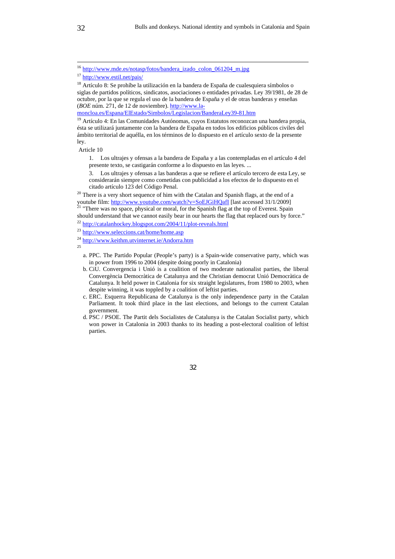Article 10

1. Los ultrajes y ofensas a la bandera de España y a las contempladas en el artículo 4 del presente texto, se castigarán conforme a lo dispuesto en las leyes. ...

3. Los ultrajes y ofensas a las banderas a que se refiere el artículo tercero de esta Ley, se considerarán siempre como cometidas con publicidad a los efectos de lo dispuesto en el

citado artículo 123 del Código Penal. 20 There is a very short sequence of him with the Catalan and Spanish flags, at the end of a youtube film: http://www.youtube.com/watch?v=SoEJGiHQafI [last accessed 31/1/2009]<br><sup>21</sup> "There was no space, physical or moral, for the Spanish flag at the top of Everest. Spain

should understand that we cannot easily bear in our hearts the flag that replaced ours by force."<br>
<sup>22</sup> http://catalanhockey.blogspot.com/2004/11/plot-reveals.html <sup>23</sup> http://www.seleccions.cat/home/home.asp

- b. CiU. Convergencia i Unió is a coalition of two moderate nationalist parties, the liberal Convergència Democràtica de Catalunya and the Christian democrat Unió Democràtica de Catalunya. It held power in Catalonia for six straight legislatures, from 1980 to 2003, when despite winning, it was toppled by a coalition of leftist parties.
- c. ERC. Esquerra Republicana de Catalunya is the only independence party in the Catalan Parliament. It took third place in the last elections, and belongs to the current Catalan government.
- d. PSC / PSOE. The Partit dels Socialistes de Catalunya is the Catalan Socialist party, which won power in Catalonia in 2003 thanks to its heading a post-electoral coalition of leftist parties.

<sup>&</sup>lt;sup>16</sup> http://www.mde.es/notasp/fotos/bandera izado\_colon\_061204\_m.jpg

<sup>&</sup>lt;sup>17</sup> http://www.estil.net/pais/<br><sup>18</sup> Artículo 8: Se prohíbe la utilización en la bandera de España de cualesquiera símbolos o siglas de partidos políticos, sindicatos, asociaciones o entidades privadas. Ley 39/1981, de 28 de octubre, por la que se regula el uso de la bandera de España y el de otras banderas y enseñas (*BOE* núm. 271, de 12 de noviembre). http://www.la-

moncloa.es/Espana/ElEstado/Simbolos/Legislacion/BanderaLey39-81.htm 19 Artículo 4: En las Comunidades Autónomas, cuyos Estatutos reconozcan una bandera propia, ésta se utilizará juntamente con la bandera de España en todos los edificios públicos civiles del ámbito territorial de aquélla, en los términos de lo dispuesto en el artículo sexto de la presente ley.

 $\frac{24}{15}$  http://www.keithm.utvinternet.ie/Andorra.htm

a. PPC. The Partido Popular (People's party) is a Spain-wide conservative party, which was in power from 1996 to 2004 (despite doing poorly in Catalonia)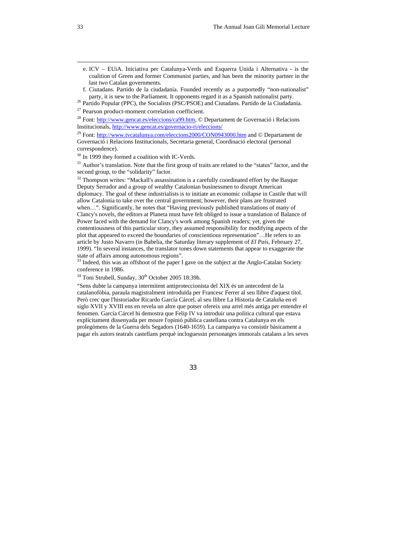e. ICV – EUiA. Iniciativa per Catalunya-Verds and Esquerra Unida i Alternativa - is the coalition of Green and former Communist parties, and has been the minority partner in the last two Catalan governments.

party, it is new to the Parliament. It opponents regard it as a Spanish nationalist party.<br><sup>26</sup> Partido Popular (PPC), the Socialists (PSC/PSOE) and Ciutadans. Partido de la Ciudadanía.<br><sup>27</sup> Pearson product-moment correlat

<sup>29</sup> Font: http://www.tvcatalunya.com/eleccions2000/CON0943000.htm and © Departament de Governació i Relacions Institucionals, Secretaria general, Coordinació electoral (personal correspondence).

<sup>30</sup> In 1999 they formed a coalition with IC-Verds.

 $31$  Author's translation. Note that the first group of traits are related to the "status" factor, and the second group, to the "solidarity" factor.

<sup>32</sup> Thompson writes: "Mackall's assassination is a carefully coordinated effort by the Basque Deputy Serrador and a group of wealthy Catalonian businessmen to disrupt American diplomacy. The goal of these industrialists is to initiate an economic collapse in Castile that will allow Catalonia to take over the central government; however, their plans are frustrated when...". Significantly, he notes that "Having previously published translations of many of Clancy's novels, the editors at Planeta must have felt obliged to issue a translation of Balance of Power faced with the demand for Clancy's work among Spanish readers; yet, given the contentiousness of this particular story, they assumed responsibility for modifying aspects of the plot that appeared to exceed the boundaries of conscientious representation"…He refers to an article by Justo Navarro (in Babelia, the Saturday literary supplement of *El País*, February 27, 1999). "In several instances, the translator tones down statements that appear to exaggerate the state of affairs among autonomous regions".<br><sup>33</sup> Indeed, this was an offshoot of the paper I gave on the subject at the Anglo-Catalan Society

conference in 1986.

<sup>34</sup> Toni Strubell, Sunday, 30<sup>th</sup> October 2005 18:39h.

"Sens dubte la campanya intermitent antiproteccionista del XIX és un antecedent de la catalanofòbia, paraula magistralment introduïda per Francesc Ferrer al seu llibre d'aquest títol. Però crec que l'historiador Ricardo García Cárcel, al seu llibre La Historia de Cataluña en el siglo XVII y XVIII ens en revela un altre que potser ofereix una arrel més antiga per entendre el fenomen. García Cárcel hi demostra que Felip IV va introduir una política cultural que estava explícitament dissenyada per moure l'opinió pública castellana contra Catalunya en els prolegòmens de la Guerra dels Segadors (1640-1659). La campanya va consistir bàsicament a pagar els autors teatrals castellans perquè incloguessin personatges immorals catalans a les seves

33

 $\overline{a}$ 

f. Ciutadans. Partido de la ciudadanía. Founded recently as a purportedly "non-nationalist"

<sup>&</sup>lt;sup>28</sup> Font:  $\frac{http://www.gencat.es/eleccions/ca99.htm}{http://www.gencat.es/eleccions/ca99.htm}$ , © Departament de Governació i Relacions Institucionals,  $http://www.gencat.es/governacio-ri/e leccions/$